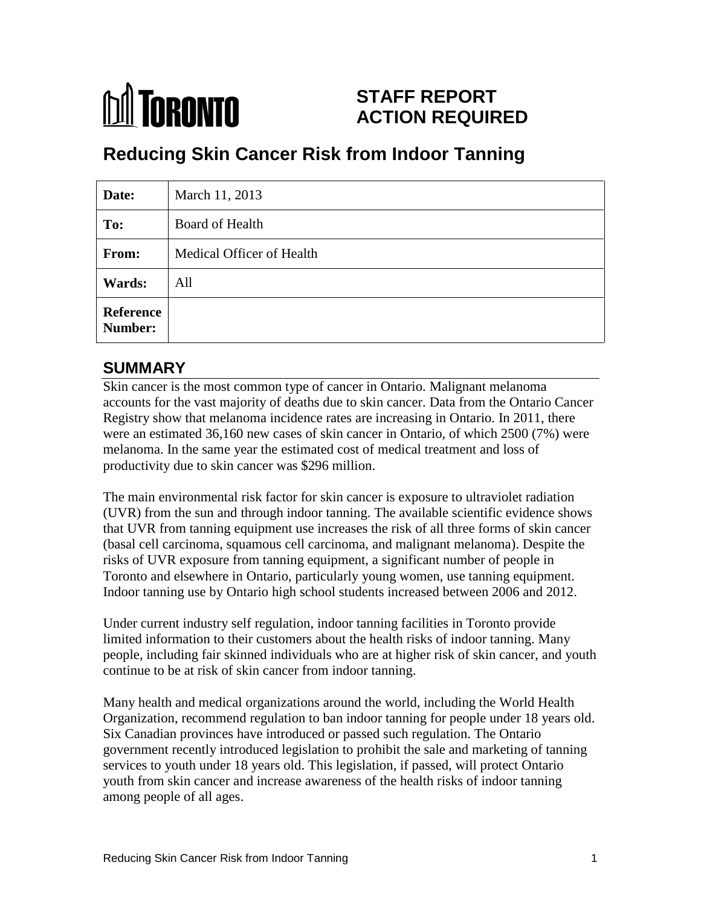# **M** TORONTO

## **STAFF REPORT ACTION REQUIRED**

# **Reducing Skin Cancer Risk from Indoor Tanning**

| Date:                | March 11, 2013            |
|----------------------|---------------------------|
| To:                  | <b>Board of Health</b>    |
| From:                | Medical Officer of Health |
| Wards:               | All                       |
| Reference<br>Number: |                           |

## **SUMMARY**

Skin cancer is the most common type of cancer in Ontario. Malignant melanoma accounts for the vast majority of deaths due to skin cancer. Data from the Ontario Cancer Registry show that melanoma incidence rates are increasing in Ontario. In 2011, there were an estimated 36,160 new cases of skin cancer in Ontario, of which 2500 (7%) were melanoma. In the same year the estimated cost of medical treatment and loss of productivity due to skin cancer was \$296 million.

The main environmental risk factor for skin cancer is exposure to ultraviolet radiation (UVR) from the sun and through indoor tanning. The available scientific evidence shows that UVR from tanning equipment use increases the risk of all three forms of skin cancer (basal cell carcinoma, squamous cell carcinoma, and malignant melanoma). Despite the risks of UVR exposure from tanning equipment, a significant number of people in Toronto and elsewhere in Ontario, particularly young women, use tanning equipment. Indoor tanning use by Ontario high school students increased between 2006 and 2012.

Under current industry self regulation, indoor tanning facilities in Toronto provide limited information to their customers about the health risks of indoor tanning. Many people, including fair skinned individuals who are at higher risk of skin cancer, and youth continue to be at risk of skin cancer from indoor tanning.

Many health and medical organizations around the world, including the World Health Organization, recommend regulation to ban indoor tanning for people under 18 years old. Six Canadian provinces have introduced or passed such regulation. The Ontario government recently introduced legislation to prohibit the sale and marketing of tanning services to youth under 18 years old. This legislation, if passed, will protect Ontario youth from skin cancer and increase awareness of the health risks of indoor tanning among people of all ages.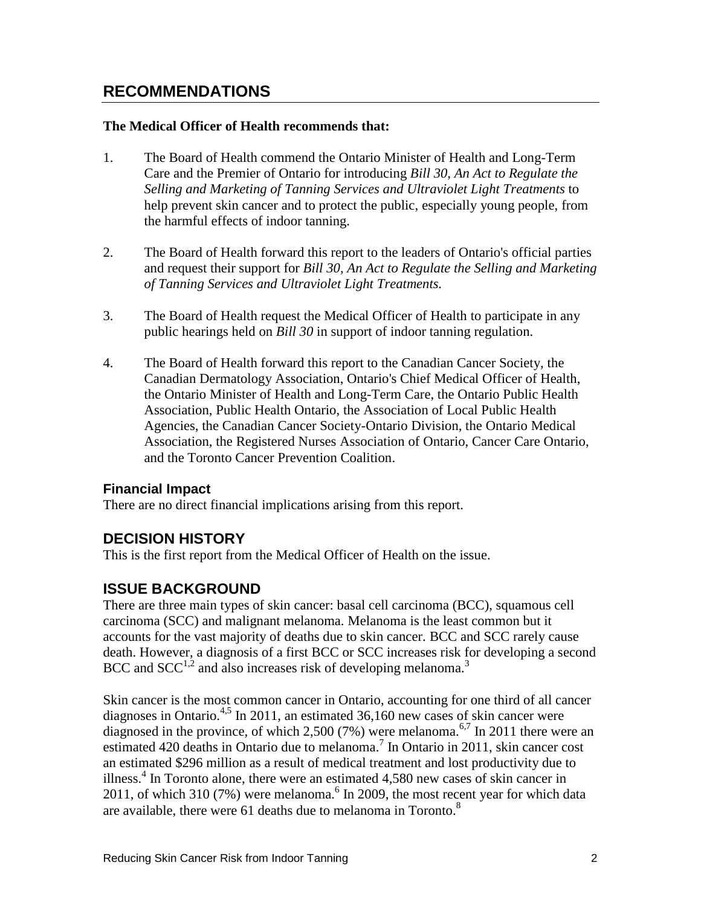### **RECOMMENDATIONS**

#### **The Medical Officer of Health recommends that:**

- 1. The Board of Health commend the Ontario Minister of Health and Long-Term Care and the Premier of Ontario for introducing *Bill 30, An Act to Regulate the Selling and Marketing of Tanning Services and Ultraviolet Light Treatments* to help prevent skin cancer and to protect the public, especially young people, from the harmful effects of indoor tanning.
- 2. The Board of Health forward this report to the leaders of Ontario's official parties and request their support for *Bill 30, An Act to Regulate the Selling and Marketing of Tanning Services and Ultraviolet Light Treatments.*
- 3. The Board of Health request the Medical Officer of Health to participate in any public hearings held on *Bill 30* in support of indoor tanning regulation.
- 4. The Board of Health forward this report to the Canadian Cancer Society, the Canadian Dermatology Association, Ontario's Chief Medical Officer of Health, the Ontario Minister of Health and Long-Term Care, the Ontario Public Health Association, Public Health Ontario, the Association of Local Public Health Agencies, the Canadian Cancer Society-Ontario Division, the Ontario Medical Association, the Registered Nurses Association of Ontario, Cancer Care Ontario, and the Toronto Cancer Prevention Coalition.

#### **Financial Impact**

There are no direct financial implications arising from this report.

#### **DECISION HISTORY**

This is the first report from the Medical Officer of Health on the issue.

#### **ISSUE BACKGROUND**

There are three main types of skin cancer: basal cell carcinoma (BCC), squamous cell carcinoma (SCC) and malignant melanoma. Melanoma is the least common but it accounts for the vast majority of deaths due to skin cancer. BCC and SCC rarely cause death. However, a diagnosis of a first BCC or SCC increases risk for developing a second BCC and  $SCC<sup>1,2</sup>$  and also increases risk of developing melanoma.<sup>3</sup>

Skin cancer is the most common cancer in Ontario, accounting for one third of all cancer diagnoses in Ontario.<sup>4,5</sup> In 2011, an estimated 36,160 new cases of skin cancer were diagnosed in the province, of which 2,500 (7%) were melanoma.<sup>6,7</sup> In 2011 there were an estimated 420 deaths in Ontario due to melanoma.<sup>7</sup> In Ontario in 2011, skin cancer cost an estimated \$296 million as a result of medical treatment and lost productivity due to illness.<sup>4</sup> In Toronto alone, there were an estimated 4,580 new cases of skin cancer in 2011, of which 310 (7%) were melanoma.<sup>6</sup> In 2009, the most recent year for which data are available, there were 61 deaths due to melanoma in Toronto.<sup>8</sup>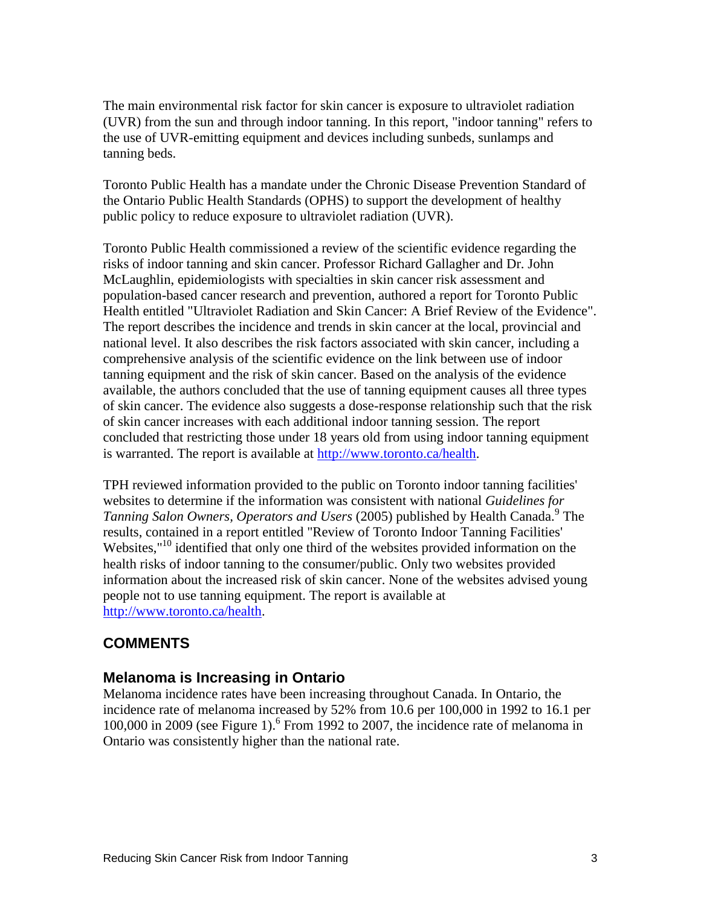The main environmental risk factor for skin cancer is exposure to ultraviolet radiation (UVR) from the sun and through indoor tanning. In this report, "indoor tanning" refers to the use of UVR-emitting equipment and devices including sunbeds, sunlamps and tanning beds.

Toronto Public Health has a mandate under the Chronic Disease Prevention Standard of the Ontario Public Health Standards (OPHS) to support the development of healthy public policy to reduce exposure to ultraviolet radiation (UVR).

Toronto Public Health commissioned a review of the scientific evidence regarding the risks of indoor tanning and skin cancer. Professor Richard Gallagher and Dr. John McLaughlin, epidemiologists with specialties in skin cancer risk assessment and population-based cancer research and prevention, authored a report for Toronto Public Health entitled "Ultraviolet Radiation and Skin Cancer: A Brief Review of the Evidence". The report describes the incidence and trends in skin cancer at the local, provincial and national level. It also describes the risk factors associated with skin cancer, including a comprehensive analysis of the scientific evidence on the link between use of indoor tanning equipment and the risk of skin cancer. Based on the analysis of the evidence available, the authors concluded that the use of tanning equipment causes all three types of skin cancer. The evidence also suggests a dose-response relationship such that the risk of skin cancer increases with each additional indoor tanning session. The report concluded that restricting those under 18 years old from using indoor tanning equipment is warranted. The report is available at [http://www.toronto.ca/health.](http://www.toronto.ca/health)

TPH reviewed information provided to the public on Toronto indoor tanning facilities' websites to determine if the information was consistent with national *Guidelines for*  Tanning Salon Owners, Operators and Users (2005) published by Health Canada.<sup>9</sup> The results, contained in a report entitled "Review of Toronto Indoor Tanning Facilities' Websites,"<sup>10</sup> identified that only one third of the websites provided information on the health risks of indoor tanning to the consumer/public. Only two websites provided information about the increased risk of skin cancer. None of the websites advised young people not to use tanning equipment. The report is available at [http://www.toronto.ca/health.](http://www.toronto.ca/health)

### **COMMENTS**

#### **Melanoma is Increasing in Ontario**

Melanoma incidence rates have been increasing throughout Canada. In Ontario, the incidence rate of melanoma increased by 52% from 10.6 per 100,000 in 1992 to 16.1 per 100,000 in 2009 (see Figure 1). 6 From 1992 to 2007, the incidence rate of melanoma in Ontario was consistently higher than the national rate.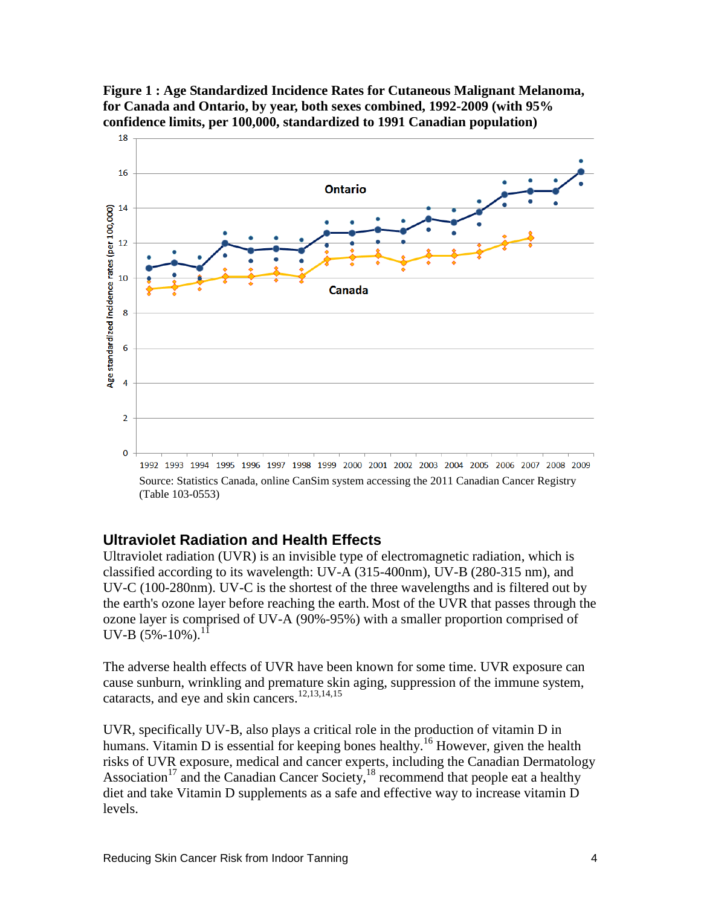



#### **Ultraviolet Radiation and Health Effects**

Ultraviolet radiation (UVR) is an invisible type of electromagnetic radiation, which is classified according to its wavelength: UV-A (315-400nm), UV-B (280-315 nm), and UV-C (100-280nm). UV-C is the shortest of the three wavelengths and is filtered out by the earth's ozone layer before reaching the earth. Most of the UVR that passes through the ozone layer is comprised of UV-A (90%-95%) with a smaller proportion comprised of UV-B  $(5\% - 10\%)$ .<sup>11</sup>

The adverse health effects of UVR have been known for some time. UVR exposure can cause sunburn, wrinkling and premature skin aging, suppression of the immune system, cataracts, and eye and skin cancers.<sup>12,13,14,15</sup>

UVR, specifically UV-B, also plays a critical role in the production of vitamin D in humans. Vitamin D is essential for keeping bones healthy.<sup>16</sup> However, given the health risks of UVR exposure, medical and cancer experts, including the Canadian Dermatology Association<sup>17</sup> and the Canadian Cancer Society,  $18$  recommend that people eat a healthy diet and take Vitamin D supplements as a safe and effective way to increase vitamin D levels.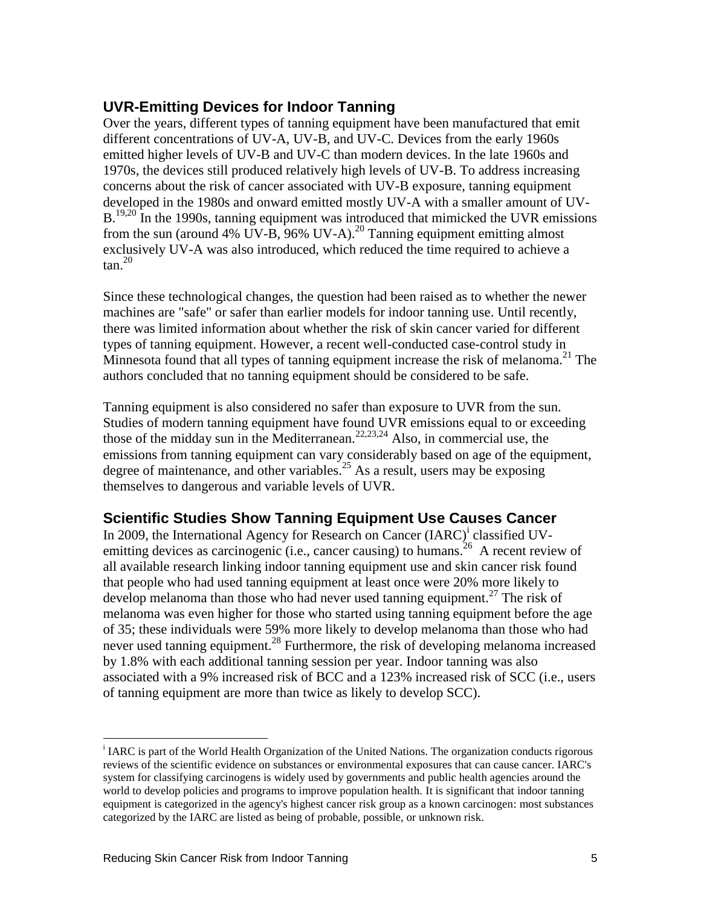#### **UVR-Emitting Devices for Indoor Tanning**

Over the years, different types of tanning equipment have been manufactured that emit different concentrations of UV-A, UV-B, and UV-C. Devices from the early 1960s emitted higher levels of UV-B and UV-C than modern devices. In the late 1960s and 1970s, the devices still produced relatively high levels of UV-B. To address increasing concerns about the risk of cancer associated with UV-B exposure, tanning equipment developed in the 1980s and onward emitted mostly UV-A with a smaller amount of UV-B.<sup>19,20</sup> In the 1990s, tanning equipment was introduced that mimicked the UVR emissions from the sun (around 4% UV-B, 96% UV-A).<sup>20</sup> Tanning equipment emitting almost exclusively UV-A was also introduced, which reduced the time required to achieve a  $tan<sup>20</sup>$ 

Since these technological changes, the question had been raised as to whether the newer machines are "safe" or safer than earlier models for indoor tanning use. Until recently, there was limited information about whether the risk of skin cancer varied for different types of tanning equipment. However, a recent well-conducted case-control study in Minnesota found that all types of tanning equipment increase the risk of melanoma.<sup>21</sup> The authors concluded that no tanning equipment should be considered to be safe.

Tanning equipment is also considered no safer than exposure to UVR from the sun. Studies of modern tanning equipment have found UVR emissions equal to or exceeding those of the midday sun in the Mediterranean.<sup>22,23,24</sup> Also, in commercial use, the emissions from tanning equipment can vary considerably based on age of the equipment, degree of maintenance, and other variables. <sup>25</sup> As a result, users may be exposing themselves to dangerous and variable levels of UVR.

### **Scientific Studies Show Tanning Equipment Use Causes Cancer**

In 2009, the International Agency for Research on Cancer (IARC)<sup>i</sup> classified UVemitting devices as carcinogenic (i.e., cancer causing) to humans.<sup>26</sup> A recent review of all available research linking indoor tanning equipment use and skin cancer risk found that people who had used tanning equipment at least once were 20% more likely to develop melanoma than those who had never used tanning equipment. <sup>27</sup> The risk of melanoma was even higher for those who started using tanning equipment before the age of 35; these individuals were 59% more likely to develop melanoma than those who had never used tanning equipment.<sup>28</sup> Furthermore, the risk of developing melanoma increased by 1.8% with each additional tanning session per year. Indoor tanning was also associated with a 9% increased risk of BCC and a 123% increased risk of SCC (i.e., users of tanning equipment are more than twice as likely to develop SCC).

 $\overline{a}$ 

<sup>&</sup>lt;sup>i</sup> IARC is part of the World Health Organization of the United Nations. The organization conducts rigorous reviews of the scientific evidence on substances or environmental exposures that can cause cancer. IARC's system for classifying carcinogens is widely used by governments and public health agencies around the world to develop policies and programs to improve population health. It is significant that indoor tanning equipment is categorized in the agency's highest cancer risk group as a known carcinogen: most substances categorized by the IARC are listed as being of probable, possible, or unknown risk.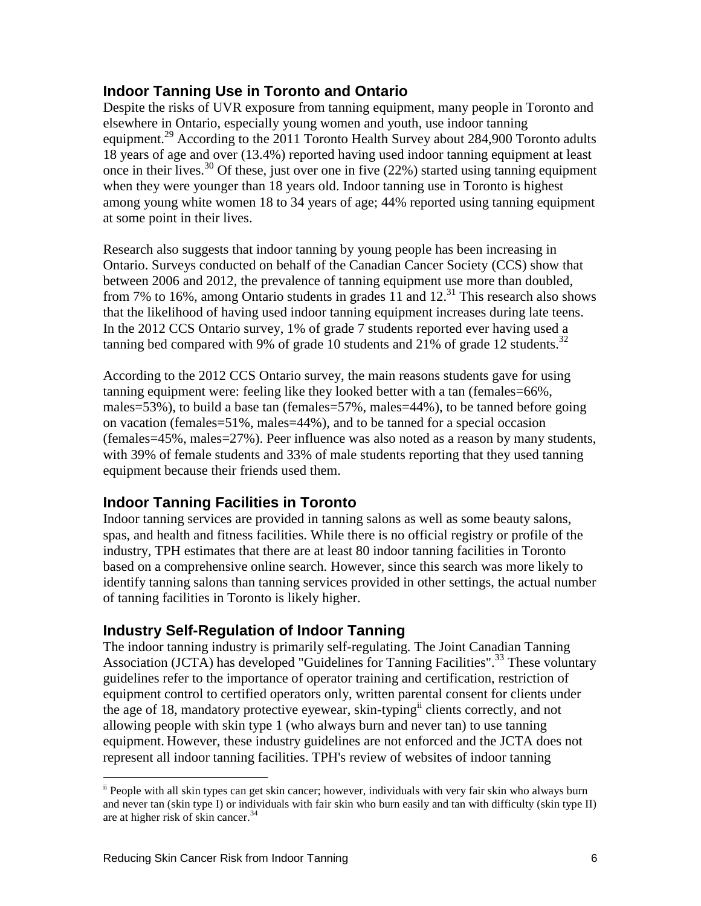#### **Indoor Tanning Use in Toronto and Ontario**

Despite the risks of UVR exposure from tanning equipment, many people in Toronto and elsewhere in Ontario, especially young women and youth, use indoor tanning equipment.<sup>29</sup> According to the 2011 Toronto Health Survey about 284,900 Toronto adults 18 years of age and over (13.4%) reported having used indoor tanning equipment at least once in their lives.<sup>30</sup> Of these, just over one in five  $(22%)$  started using tanning equipment when they were younger than 18 years old. Indoor tanning use in Toronto is highest among young white women 18 to 34 years of age; 44% reported using tanning equipment at some point in their lives.

Research also suggests that indoor tanning by young people has been increasing in Ontario. Surveys conducted on behalf of the Canadian Cancer Society (CCS) show that between 2006 and 2012, the prevalence of tanning equipment use more than doubled, from 7% to 16%, among Ontario students in grades  $11$  and  $12$ .<sup>31</sup> This research also shows that the likelihood of having used indoor tanning equipment increases during late teens. In the 2012 CCS Ontario survey, 1% of grade 7 students reported ever having used a tanning bed compared with 9% of grade 10 students and 21% of grade 12 students.<sup>32</sup>

According to the 2012 CCS Ontario survey, the main reasons students gave for using tanning equipment were: feeling like they looked better with a tan (females=66%, males=53%), to build a base tan (females=57%, males=44%), to be tanned before going on vacation (females=51%, males=44%), and to be tanned for a special occasion (females=45%, males=27%). Peer influence was also noted as a reason by many students, with 39% of female students and 33% of male students reporting that they used tanning equipment because their friends used them.

## **Indoor Tanning Facilities in Toronto**

Indoor tanning services are provided in tanning salons as well as some beauty salons, spas, and health and fitness facilities. While there is no official registry or profile of the industry, TPH estimates that there are at least 80 indoor tanning facilities in Toronto based on a comprehensive online search. However, since this search was more likely to identify tanning salons than tanning services provided in other settings, the actual number of tanning facilities in Toronto is likely higher.

### **Industry Self-Regulation of Indoor Tanning**

The indoor tanning industry is primarily self-regulating. The Joint Canadian Tanning Association (JCTA) has developed "Guidelines for Tanning Facilities".<sup>33</sup> These voluntary guidelines refer to the importance of operator training and certification, restriction of equipment control to certified operators only, written parental consent for clients under the age of 18, mandatory protective eyewear, skin-typingii clients correctly, and not allowing people with skin type 1 (who always burn and never tan) to use tanning equipment. However, these industry guidelines are not enforced and the JCTA does not represent all indoor tanning facilities. TPH's review of websites of indoor tanning

 $\overline{a}$ 

ii People with all skin types can get skin cancer; however, individuals with very fair skin who always burn and never tan (skin type I) or individuals with fair skin who burn easily and tan with difficulty (skin type II) are at higher risk of skin cancer.<sup>34</sup>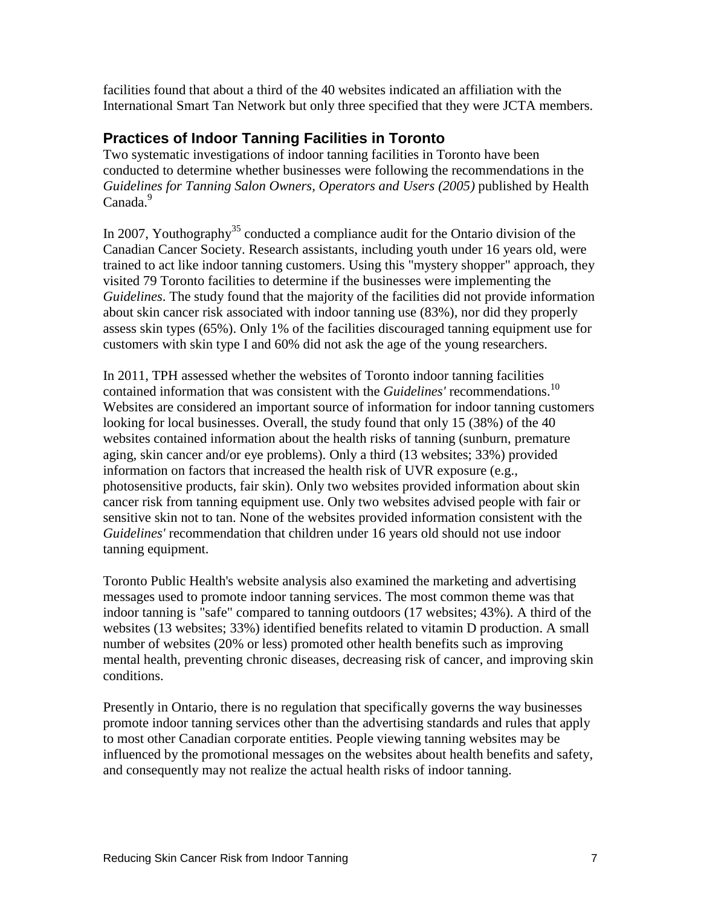facilities found that about a third of the 40 websites indicated an affiliation with the International Smart Tan Network but only three specified that they were JCTA members.

#### **Practices of Indoor Tanning Facilities in Toronto**

Two systematic investigations of indoor tanning facilities in Toronto have been conducted to determine whether businesses were following the recommendations in the *Guidelines for Tanning Salon Owners, Operators and Users (2005)* published by Health Canada.<sup>9</sup>

In 2007, Youthography<sup>35</sup> conducted a compliance audit for the Ontario division of the Canadian Cancer Society. Research assistants, including youth under 16 years old, were trained to act like indoor tanning customers. Using this "mystery shopper" approach, they visited 79 Toronto facilities to determine if the businesses were implementing the *Guidelines*. The study found that the majority of the facilities did not provide information about skin cancer risk associated with indoor tanning use (83%), nor did they properly assess skin types (65%). Only 1% of the facilities discouraged tanning equipment use for customers with skin type I and 60% did not ask the age of the young researchers.

In 2011, TPH assessed whether the websites of Toronto indoor tanning facilities contained information that was consistent with the *Guidelines'* recommendations.<sup>10</sup> Websites are considered an important source of information for indoor tanning customers looking for local businesses. Overall, the study found that only 15 (38%) of the 40 websites contained information about the health risks of tanning (sunburn, premature aging, skin cancer and/or eye problems). Only a third (13 websites; 33%) provided information on factors that increased the health risk of UVR exposure (e.g., photosensitive products, fair skin). Only two websites provided information about skin cancer risk from tanning equipment use. Only two websites advised people with fair or sensitive skin not to tan. None of the websites provided information consistent with the *Guidelines'* recommendation that children under 16 years old should not use indoor tanning equipment.

Toronto Public Health's website analysis also examined the marketing and advertising messages used to promote indoor tanning services. The most common theme was that indoor tanning is "safe" compared to tanning outdoors (17 websites; 43%). A third of the websites (13 websites; 33%) identified benefits related to vitamin D production. A small number of websites (20% or less) promoted other health benefits such as improving mental health, preventing chronic diseases, decreasing risk of cancer, and improving skin conditions.

Presently in Ontario, there is no regulation that specifically governs the way businesses promote indoor tanning services other than the advertising standards and rules that apply to most other Canadian corporate entities. People viewing tanning websites may be influenced by the promotional messages on the websites about health benefits and safety, and consequently may not realize the actual health risks of indoor tanning.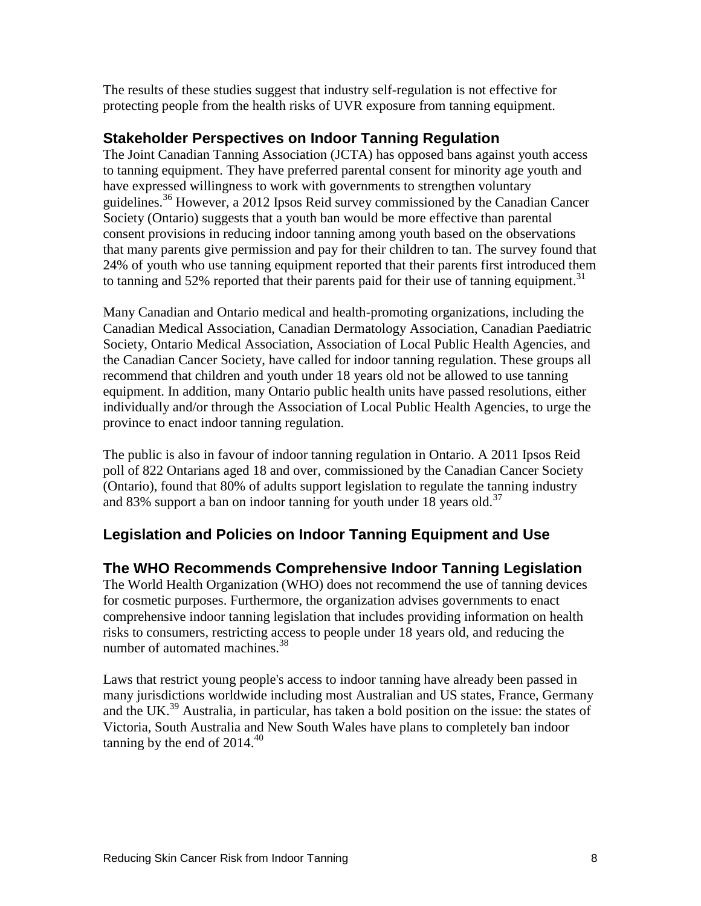The results of these studies suggest that industry self-regulation is not effective for protecting people from the health risks of UVR exposure from tanning equipment.

#### **Stakeholder Perspectives on Indoor Tanning Regulation**

The Joint Canadian Tanning Association (JCTA) has opposed bans against youth access to tanning equipment. They have preferred parental consent for minority age youth and have expressed willingness to work with governments to strengthen voluntary guidelines.<sup>36</sup> However, a 2012 Ipsos Reid survey commissioned by the Canadian Cancer Society (Ontario) suggests that a youth ban would be more effective than parental consent provisions in reducing indoor tanning among youth based on the observations that many parents give permission and pay for their children to tan. The survey found that 24% of youth who use tanning equipment reported that their parents first introduced them to tanning and 52% reported that their parents paid for their use of tanning equipment.<sup>31</sup>

Many Canadian and Ontario medical and health-promoting organizations, including the Canadian Medical Association, Canadian Dermatology Association, Canadian Paediatric Society, Ontario Medical Association, Association of Local Public Health Agencies, and the Canadian Cancer Society, have called for indoor tanning regulation. These groups all recommend that children and youth under 18 years old not be allowed to use tanning equipment. In addition, many Ontario public health units have passed resolutions, either individually and/or through the Association of Local Public Health Agencies, to urge the province to enact indoor tanning regulation.

The public is also in favour of indoor tanning regulation in Ontario. A 2011 Ipsos Reid poll of 822 Ontarians aged 18 and over, commissioned by the Canadian Cancer Society (Ontario), found that 80% of adults support legislation to regulate the tanning industry and 83% support a ban on indoor tanning for youth under 18 years old.<sup>37</sup>

### **Legislation and Policies on Indoor Tanning Equipment and Use**

### **The WHO Recommends Comprehensive Indoor Tanning Legislation**

The World Health Organization (WHO) does not recommend the use of tanning devices for cosmetic purposes. Furthermore, the organization advises governments to enact comprehensive indoor tanning legislation that includes providing information on health risks to consumers, restricting access to people under 18 years old, and reducing the number of automated machines.<sup>38</sup>

Laws that restrict young people's access to indoor tanning have already been passed in many jurisdictions worldwide including most Australian and US states, France, Germany and the UK.<sup>39</sup> Australia, in particular, has taken a bold position on the issue: the states of Victoria, South Australia and New South Wales have plans to completely ban indoor tanning by the end of  $2014<sup>40</sup>$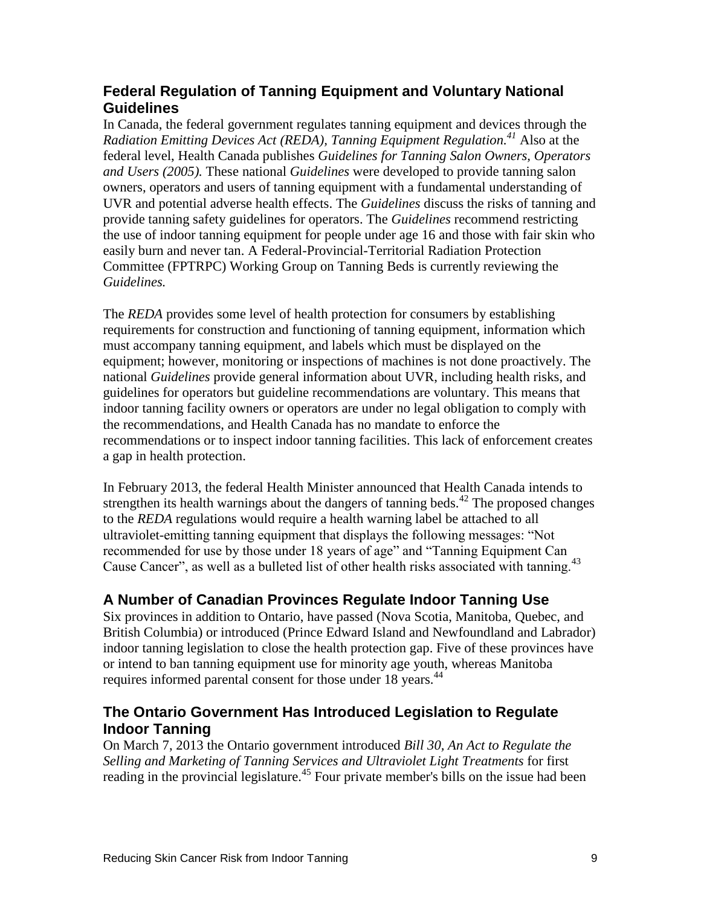### **Federal Regulation of Tanning Equipment and Voluntary National Guidelines**

In Canada, the federal government regulates tanning equipment and devices through the *Radiation Emitting Devices Act (REDA), Tanning Equipment Regulation. <sup>41</sup>* Also at the federal level, Health Canada publishes *Guidelines for Tanning Salon Owners, Operators and Users (2005).* These national *Guidelines* were developed to provide tanning salon owners, operators and users of tanning equipment with a fundamental understanding of UVR and potential adverse health effects. The *Guidelines* discuss the risks of tanning and provide tanning safety guidelines for operators. The *Guidelines* recommend restricting the use of indoor tanning equipment for people under age 16 and those with fair skin who easily burn and never tan. A Federal-Provincial-Territorial Radiation Protection Committee (FPTRPC) Working Group on Tanning Beds is currently reviewing the *Guidelines.*

The *REDA* provides some level of health protection for consumers by establishing requirements for construction and functioning of tanning equipment, information which must accompany tanning equipment, and labels which must be displayed on the equipment; however, monitoring or inspections of machines is not done proactively. The national *Guidelines* provide general information about UVR, including health risks, and guidelines for operators but guideline recommendations are voluntary. This means that indoor tanning facility owners or operators are under no legal obligation to comply with the recommendations, and Health Canada has no mandate to enforce the recommendations or to inspect indoor tanning facilities. This lack of enforcement creates a gap in health protection.

In February 2013, the federal Health Minister announced that Health Canada intends to strengthen its health warnings about the dangers of tanning beds.<sup>42</sup> The proposed changes to the *REDA* regulations would require a health warning label be attached to all ultraviolet-emitting tanning equipment that displays the following messages: "Not recommended for use by those under 18 years of age" and "Tanning Equipment Can Cause Cancer", as well as a bulleted list of other health risks associated with tanning.<sup>43</sup>

## **A Number of Canadian Provinces Regulate Indoor Tanning Use**

Six provinces in addition to Ontario, have passed (Nova Scotia, Manitoba, Quebec, and British Columbia) or introduced (Prince Edward Island and Newfoundland and Labrador) indoor tanning legislation to close the health protection gap. Five of these provinces have or intend to ban tanning equipment use for minority age youth, whereas Manitoba requires informed parental consent for those under 18 years.<sup>44</sup>

## **The Ontario Government Has Introduced Legislation to Regulate Indoor Tanning**

On March 7, 2013 the Ontario government introduced *Bill 30, An Act to Regulate the Selling and Marketing of Tanning Services and Ultraviolet Light Treatments* for first reading in the provincial legislature.<sup>45</sup> Four private member's bills on the issue had been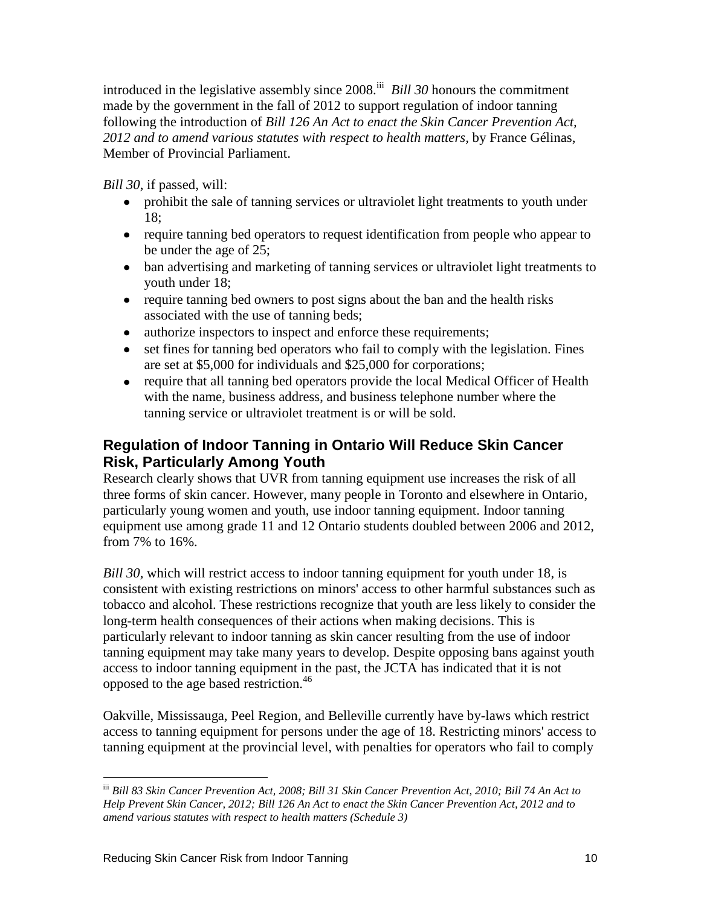introduced in the legislative assembly since 2008.<sup>iii</sup> *Bill 30* honours the commitment made by the government in the fall of 2012 to support regulation of indoor tanning following the introduction of *Bill 126 An Act to enact the Skin Cancer Prevention Act, 2012 and to amend various statutes with respect to health matters,* by France Gélinas, Member of Provincial Parliament.

*Bill 30*, if passed, will:

- prohibit the sale of tanning services or ultraviolet light treatments to youth under 18;
- require tanning bed operators to request identification from people who appear to be under the age of 25;
- ban advertising and marketing of tanning services or ultraviolet light treatments to youth under 18;
- require tanning bed owners to post signs about the ban and the health risks associated with the use of tanning beds;
- authorize inspectors to inspect and enforce these requirements;
- set fines for tanning bed operators who fail to comply with the legislation. Fines are set at \$5,000 for individuals and \$25,000 for corporations;
- require that all tanning bed operators provide the local Medical Officer of Health with the name, business address, and business telephone number where the tanning service or ultraviolet treatment is or will be sold.

## **Regulation of Indoor Tanning in Ontario Will Reduce Skin Cancer Risk, Particularly Among Youth**

Research clearly shows that UVR from tanning equipment use increases the risk of all three forms of skin cancer. However, many people in Toronto and elsewhere in Ontario, particularly young women and youth, use indoor tanning equipment. Indoor tanning equipment use among grade 11 and 12 Ontario students doubled between 2006 and 2012, from 7% to 16%.

*Bill 30,* which will restrict access to indoor tanning equipment for youth under 18, is consistent with existing restrictions on minors' access to other harmful substances such as tobacco and alcohol. These restrictions recognize that youth are less likely to consider the long-term health consequences of their actions when making decisions. This is particularly relevant to indoor tanning as skin cancer resulting from the use of indoor tanning equipment may take many years to develop. Despite opposing bans against youth access to indoor tanning equipment in the past, the JCTA has indicated that it is not opposed to the age based restriction.<sup>46</sup>

Oakville, Mississauga, Peel Region, and Belleville currently have by-laws which restrict access to tanning equipment for persons under the age of 18. Restricting minors' access to tanning equipment at the provincial level, with penalties for operators who fail to comply

 $\overline{a}$ 

iii *Bill 83 Skin Cancer Prevention Act, 2008; Bill 31 Skin Cancer Prevention Act, 2010; Bill 74 An Act to Help Prevent Skin Cancer, 2012; Bill 126 An Act to enact the Skin Cancer Prevention Act, 2012 and to amend various statutes with respect to health matters (Schedule 3)*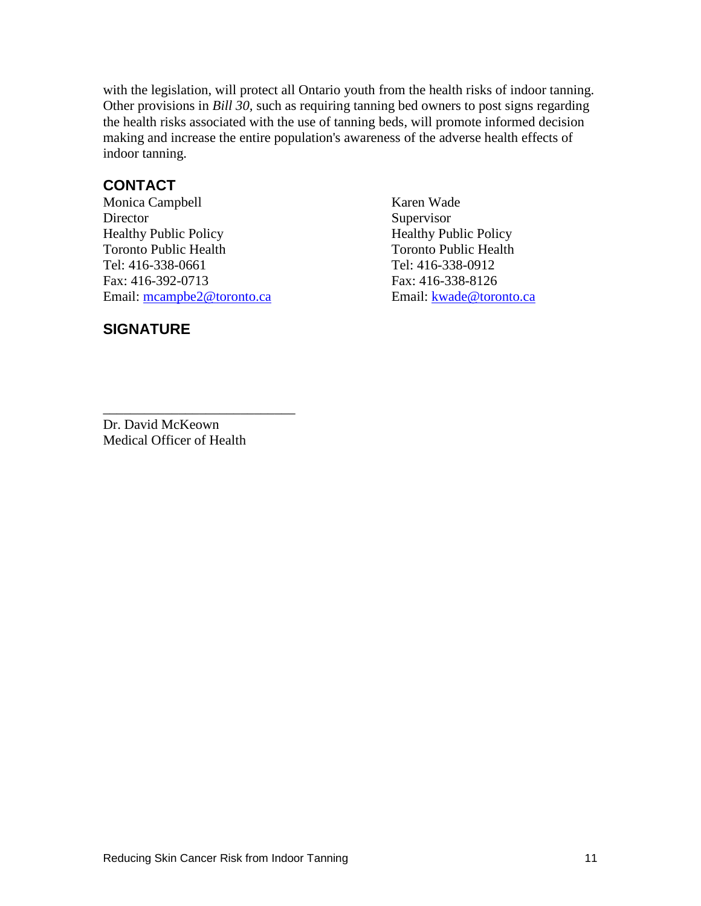with the legislation, will protect all Ontario youth from the health risks of indoor tanning. Other provisions in *Bill 30,* such as requiring tanning bed owners to post signs regarding the health risks associated with the use of tanning beds, will promote informed decision making and increase the entire population's awareness of the adverse health effects of indoor tanning.

#### **CONTACT**

Monica Campbell Karen Wade Director Supervisor Healthy Public Policy Healthy Public Policy Toronto Public Health Toronto Public Health Tel: 416-338-0661 Tel: 416-338-0912 Fax: 416-392-0713 Fax: 416-338-8126 Email: [mcampbe2@toronto.ca](mailto:mcampbe2@toronto.ca) Email: [kwade@toronto.ca](mailto:kwade@toronto.ca)

#### **SIGNATURE**

Dr. David McKeown Medical Officer of Health

\_\_\_\_\_\_\_\_\_\_\_\_\_\_\_\_\_\_\_\_\_\_\_\_\_\_\_\_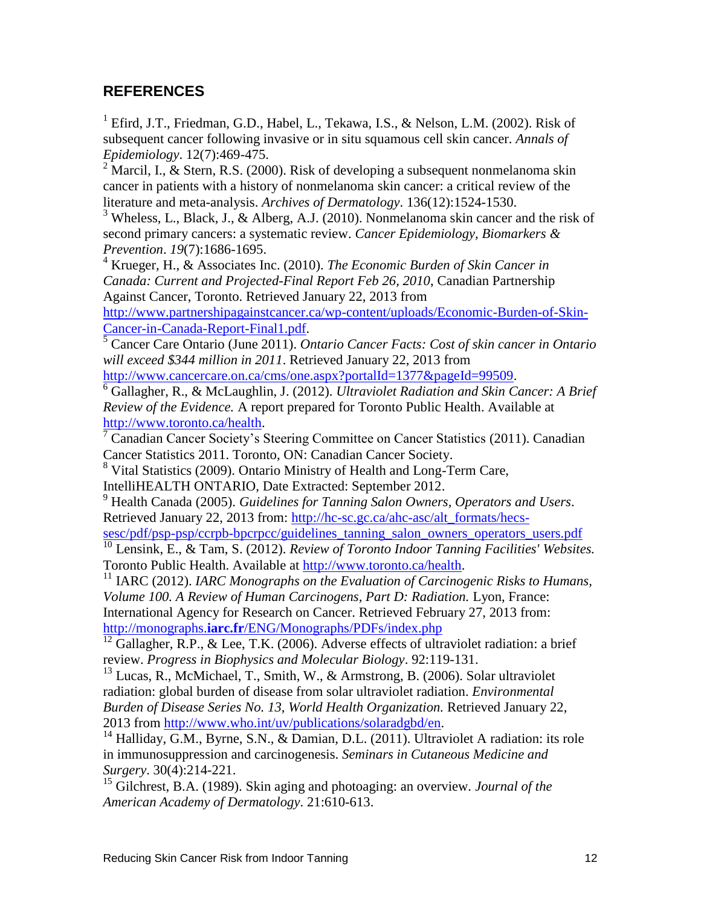#### **REFERENCES**

<sup>1</sup> Efird, J.T., Friedman, G.D., Habel, L., Tekawa, I.S., & Nelson, L.M. (2002). Risk of subsequent cancer following invasive or in situ squamous cell skin cancer. *Annals of Epidemiology*. 12(7):469-475.

<sup>2</sup> Marcil, I., & Stern, R.S. (2000). Risk of developing a subsequent nonmelanoma skin cancer in patients with a history of nonmelanoma skin cancer: a critical review of the literature and meta-analysis. *Archives of Dermatology*. 136(12):1524-1530.

<sup>3</sup> Wheless, L., Black, J., & Alberg, A.J. (2010). Nonmelanoma skin cancer and the risk of second primary cancers: a systematic review. *Cancer Epidemiology, Biomarkers & Prevention*. *19*(7):1686-1695.

<sup>4</sup> Krueger, H., & Associates Inc. (2010). *The Economic Burden of Skin Cancer in Canada: Current and Projected-Final Report Feb 26, 2010*, Canadian Partnership Against Cancer, Toronto. Retrieved January 22, 2013 from

[http://www.partnershipagainstcancer.ca/wp-content/uploads/Economic-Burden-of-Skin-](http://www.partnershipagainstcancer.ca/wp-content/uploads/Economic-Burden-of-Skin-Cancer-in-Canada-Report-Final1.pdf)[Cancer-in-Canada-Report-Final1.pdf.](http://www.partnershipagainstcancer.ca/wp-content/uploads/Economic-Burden-of-Skin-Cancer-in-Canada-Report-Final1.pdf)

<sup>5</sup> Cancer Care Ontario (June 2011). *Ontario Cancer Facts: Cost of skin cancer in Ontario will exceed \$344 million in 2011*. Retrieved January 22, 2013 from

[http://www.cancercare.on.ca/cms/one.aspx?portalId=1377&pageId=99509.](http://www.cancercare.on.ca/cms/one.aspx?portalId=1377&pageId=99509)

<sup>6</sup> Gallagher, R., & McLaughlin, J. (2012). *Ultraviolet Radiation and Skin Cancer: A Brief Review of the Evidence.* A report prepared for Toronto Public Health. Available at [http://www.toronto.ca/health.](http://www.toronto.ca/health/)

<sup>7</sup> Canadian Cancer Society's Steering Committee on Cancer Statistics (2011). Canadian Cancer Statistics 2011. Toronto, ON: Canadian Cancer Society.

<sup>8</sup> Vital Statistics (2009). Ontario Ministry of Health and Long-Term Care, IntelliHEALTH ONTARIO, Date Extracted: September 2012.

<sup>9</sup> Health Canada (2005). *Guidelines for Tanning Salon Owners, Operators and Users*. Retrieved January 22, 2013 from: [http://hc-sc.gc.ca/ahc-asc/alt\\_formats/hecs-](http://hc-sc.gc.ca/ahc-asc/alt_formats/hecs-sesc/pdf/psp-psp/ccrpb-bpcrpcc/guidelines_tanning_salon_owners_operators_users.pdf)

[sesc/pdf/psp-psp/ccrpb-bpcrpcc/guidelines\\_tanning\\_salon\\_owners\\_operators\\_users.pdf](http://hc-sc.gc.ca/ahc-asc/alt_formats/hecs-sesc/pdf/psp-psp/ccrpb-bpcrpcc/guidelines_tanning_salon_owners_operators_users.pdf)

<sup>10</sup> Lensink, E., & Tam, S. (2012). *Review of Toronto Indoor Tanning Facilities' Websites.* Toronto Public Health. Available at [http://www.toronto.ca/health.](http://www.toronto.ca/health/)

<sup>11</sup> IARC (2012). *IARC Monographs on the Evaluation of Carcinogenic Risks to Humans, Volume 100. A Review of Human Carcinogens, Part D: Radiation.* Lyon, France:

International Agency for Research on Cancer. Retrieved February 27, 2013 from: http://monographs.**iarc.fr**[/ENG/Monographs/PDFs/index.php](http://monographs.iarc.fr/ENG/Monographs/PDFs/index.php)

 $\frac{12}{12}$  Gallagher, R.P., & Lee, T.K. (2006). Adverse effects of ultraviolet radiation: a brief review. *Progress in Biophysics and Molecular Biology*. 92:119-131.

 $13$  Lucas, R., McMichael, T., Smith, W., & Armstrong, B. (2006). Solar ultraviolet radiation: global burden of disease from solar ultraviolet radiation. *Environmental Burden of Disease Series No. 13, World Health Organization.* Retrieved January 22, 2013 from [http://www.who.int/uv/publications/solaradgbd/en.](http://www.who.int/uv/publications/solaradgbd/en/)

<sup>14</sup> Halliday, G.M., Byrne, S.N., & Damian, D.L. (2011). Ultraviolet A radiation: its role in immunosuppression and carcinogenesis. *Seminars in Cutaneous Medicine and Surgery*. 30(4):214-221.

<sup>15</sup> Gilchrest, B.A. (1989). Skin aging and photoaging: an overview. *Journal of the American Academy of Dermatology*. 21:610-613.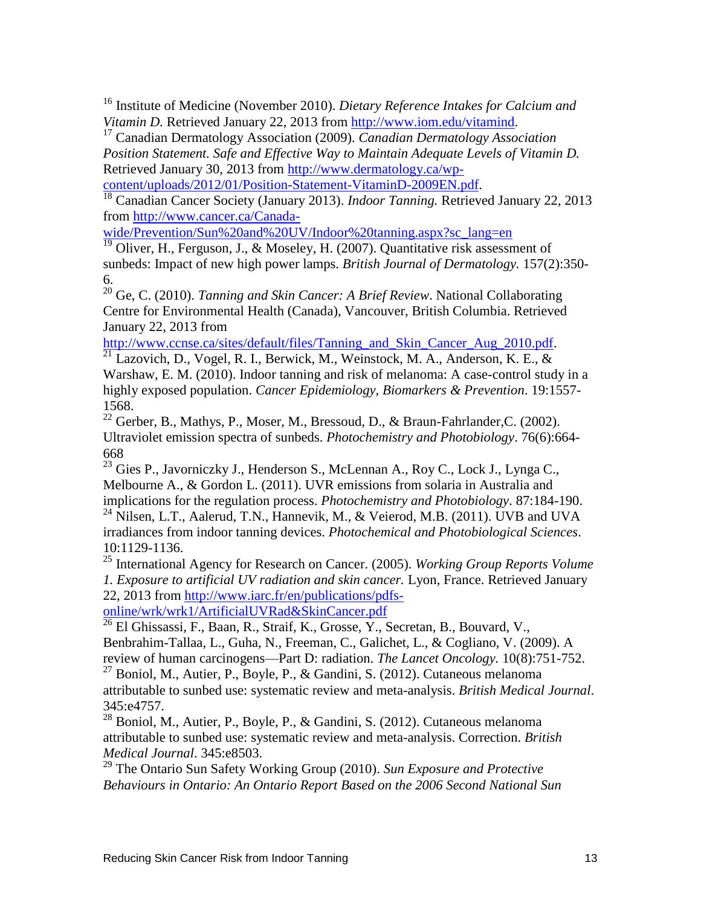<sup>16</sup> Institute of Medicine (November 2010). *Dietary Reference Intakes for Calcium and Vitamin D.* Retrieved January 22, 2013 from [http://www.iom.edu/vitamind.](http://www.iom.edu/vitamind)

<sup>17</sup> Canadian Dermatology Association (2009). *Canadian Dermatology Association Position Statement. Safe and Effective Way to Maintain Adequate Levels of Vitamin D.*  Retrieved January 30, 2013 from [http://www.dermatology.ca/wp-](http://www.dermatology.ca/wp-content/uploads/2012/01/Position-Statement-VitaminD-2009EN.pdf)

[content/uploads/2012/01/Position-Statement-VitaminD-2009EN.pdf.](http://www.dermatology.ca/wp-content/uploads/2012/01/Position-Statement-VitaminD-2009EN.pdf)

<sup>18</sup> Canadian Cancer Society (January 2013). *Indoor Tanning*. Retrieved January 22, 2013 from [http://www.cancer.ca/Canada-](http://www.cancer.ca/Canada-wide/Prevention/Sun%20and%20UV/Indoor%20tanning.aspx?sc_lang=en)

[wide/Prevention/Sun%20and%20UV/Indoor%20tanning.aspx?sc\\_lang=en](http://www.cancer.ca/Canada-wide/Prevention/Sun%20and%20UV/Indoor%20tanning.aspx?sc_lang=en)

 $\frac{19}{19}$  Oliver, H., Ferguson, J., & Moseley, H. (2007). Quantitative risk assessment of sunbeds: Impact of new high power lamps. *British Journal of Dermatology.* 157(2):350- 6.

<sup>20</sup> Ge, C. (2010). *Tanning and Skin Cancer: A Brief Review*. National Collaborating Centre for Environmental Health (Canada), Vancouver, British Columbia. Retrieved January 22, 2013 from

[http://www.ccnse.ca/sites/default/files/Tanning\\_and\\_Skin\\_Cancer\\_Aug\\_2010.pdf.](http://www.ccnse.ca/sites/default/files/Tanning_and_Skin_Cancer_Aug_2010.pdf)

 $\frac{21}{21}$  Lazovich, D., Vogel, R. I., Berwick, M., Weinstock, M. A., Anderson, K. E., & Warshaw, E. M. (2010). Indoor tanning and risk of melanoma: A case-control study in a highly exposed population. *Cancer Epidemiology, Biomarkers & Prevention*. 19:1557- 1568.

<sup>22</sup> Gerber, B., Mathys, P., Moser, M., Bressoud, D., & Braun-Fahrlander, C. (2002). Ultraviolet emission spectra of sunbeds. *Photochemistry and Photobiology*. 76(6):664- 668

 $^{23}$  Gies P., Javorniczky J., Henderson S., McLennan A., Roy C., Lock J., Lynga C., Melbourne A., & Gordon L. (2011). UVR emissions from solaria in Australia and implications for the regulation process. *Photochemistry and Photobiology*. 87:184-190.

<sup>24</sup> Nilsen, L.T., Aalerud, T.N., Hannevik, M., & Veierod, M.B. (2011). UVB and UVA irradiances from indoor tanning devices. *Photochemical and Photobiological Sciences*. 10:1129-1136.

<sup>25</sup> International Agency for Research on Cancer. (2005). *Working Group Reports Volume 1. Exposure to artificial UV radiation and skin cancer.* Lyon, France. Retrieved January 22, 2013 from [http://www.iarc.fr/en/publications/pdfs-](http://www.iarc.fr/en/publications/pdfs-online/wrk/wrk1/ArtificialUVRad&SkinCancer.pdf)

[online/wrk/wrk1/ArtificialUVRad&SkinCancer.pdf](http://www.iarc.fr/en/publications/pdfs-online/wrk/wrk1/ArtificialUVRad&SkinCancer.pdf)

 $\frac{1}{26}$  El Ghissassi, F., Baan, R., Straif, K., Grosse, Y., Secretan, B., Bouvard, V., Benbrahim-Tallaa, L., Guha, N., Freeman, C., Galichet, L., & Cogliano, V. (2009). A review of human carcinogens—Part D: radiation. *The Lancet Oncology.* 10(8):751-752.

 $^{27}$  Boniol, M., Autier, P., Boyle, P., & Gandini, S. (2012). Cutaneous melanoma attributable to sunbed use: systematic review and meta-analysis. *British Medical Journal*. 345:e4757.

 $28$  Boniol, M., Autier, P., Boyle, P., & Gandini, S. (2012). Cutaneous melanoma attributable to sunbed use: systematic review and meta-analysis. Correction. *British Medical Journal*. 345:e8503.

<sup>29</sup> The Ontario Sun Safety Working Group (2010). *Sun Exposure and Protective Behaviours in Ontario: An Ontario Report Based on the 2006 Second National Sun*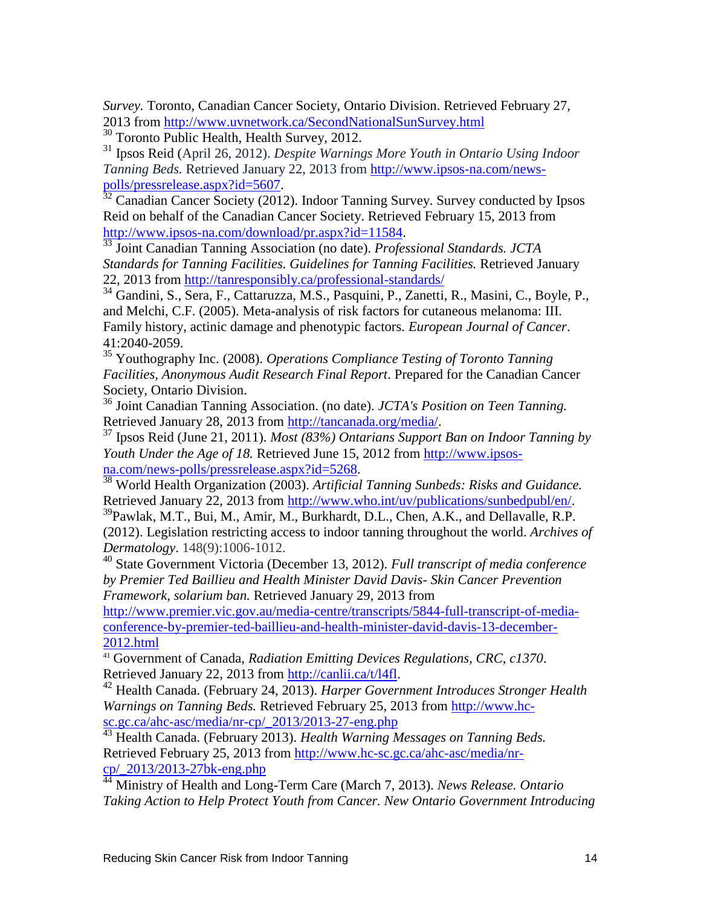*Survey.* Toronto, Canadian Cancer Society, Ontario Division. Retrieved February 27, 2013 from<http://www.uvnetwork.ca/SecondNationalSunSurvey.html>

<sup>30</sup> Toronto Public Health, Health Survey, 2012.

<sup>31</sup> Ipsos Reid (April 26, 2012). *Despite Warnings More Youth in Ontario Using Indoor Tanning Beds.* Retrieved January 22, 2013 from [http://www.ipsos-na.com/news](http://www.ipsos-na.com/news-polls/pressrelease.aspx?id=5607)[polls/pressrelease.aspx?id=5607.](http://www.ipsos-na.com/news-polls/pressrelease.aspx?id=5607)

 $32$  Canadian Cancer Society (2012). Indoor Tanning Survey. Survey conducted by Ipsos Reid on behalf of the Canadian Cancer Society. Retrieved February 15, 2013 from [http://www.ipsos-na.com/download/pr.aspx?id=11584.](http://www.ipsos-na.com/download/pr.aspx?id=11584)

<sup>33</sup> Joint Canadian Tanning Association (no date). *Professional Standards. JCTA Standards for Tanning Facilities. Guidelines for Tanning Facilities.* Retrieved January 22, 2013 from<http://tanresponsibly.ca/professional-standards/>

<sup>34</sup> Gandini, S., Sera, F., Cattaruzza, M.S., Pasquini, P., Zanetti, R., Masini, C., Boyle, P., and Melchi, C.F. (2005). Meta-analysis of risk factors for cutaneous melanoma: III. Family history, actinic damage and phenotypic factors. *European Journal of Cancer*. 41:2040-2059.

<sup>35</sup> Youthography Inc. (2008). *Operations Compliance Testing of Toronto Tanning Facilities, Anonymous Audit Research Final Report*. Prepared for the Canadian Cancer Society, Ontario Division.

<sup>36</sup> Joint Canadian Tanning Association. (no date). *JCTA's Position on Teen Tanning.* Retrieved January 28, 2013 from [http://tancanada.org/media/.](http://tancanada.org/media/)

<sup>37</sup> Ipsos Reid (June 21, 2011). *Most (83%) Ontarians Support Ban on Indoor Tanning by Youth Under the Age of 18.* Retrieved June 15, 2012 from [http://www.ipsos](http://www.ipsos-na.com/news-polls/pressrelease.aspx?id=5268)[na.com/news-polls/pressrelease.aspx?id=5268.](http://www.ipsos-na.com/news-polls/pressrelease.aspx?id=5268)

<sup>38</sup> World Health Organization (2003). *Artificial Tanning Sunbeds: Risks and Guidance.*  Retrieved January 22, 2013 from [http://www.who.int/uv/publications/sunbedpubl/en/.](http://www.who.int/uv/publications/sunbedpubl/en/)

<sup>39</sup>Pawlak, M.T., Bui, M., Amir, M., Burkhardt, D.L., Chen, A.K., and Dellavalle, R.P. (2012). Legislation restricting access to indoor tanning throughout the world. *Archives of Dermatology*. 148(9):1006-1012.

<sup>40</sup> State Government Victoria (December 13, 2012). *Full transcript of media conference by Premier Ted Baillieu and Health Minister David Davis- Skin Cancer Prevention Framework, solarium ban.* Retrieved January 29, 2013 from

[http://www.premier.vic.gov.au/media-centre/transcripts/5844-full-transcript-of-media](http://www.premier.vic.gov.au/media-centre/transcripts/5844-full-transcript-of-media-conference-by-premier-ted-baillieu-and-health-minister-david-davis-13-december-2012.html)[conference-by-premier-ted-baillieu-and-health-minister-david-davis-13-december-](http://www.premier.vic.gov.au/media-centre/transcripts/5844-full-transcript-of-media-conference-by-premier-ted-baillieu-and-health-minister-david-davis-13-december-2012.html)[2012.html](http://www.premier.vic.gov.au/media-centre/transcripts/5844-full-transcript-of-media-conference-by-premier-ted-baillieu-and-health-minister-david-davis-13-december-2012.html)

<sup>41</sup> Government of Canada, *Radiation Emitting Devices Regulations, CRC, c1370*. Retrieved January 22, 2013 from [http://canlii.ca/t/l4fl.](http://canlii.ca/t/l4fl)

<sup>42</sup> Health Canada. (February 24, 2013). *Harper Government Introduces Stronger Health Warnings on Tanning Beds.* Retrieved February 25, 2013 from [http://www.hc](http://www.hc-sc.gc.ca/ahc-asc/media/nr-cp/_2013/2013-27-eng.php)[sc.gc.ca/ahc-asc/media/nr-cp/\\_2013/2013-27-eng.php](http://www.hc-sc.gc.ca/ahc-asc/media/nr-cp/_2013/2013-27-eng.php)

<sup>43</sup> Health Canada. (February 2013). *Health Warning Messages on Tanning Beds.* Retrieved February 25, 2013 from [http://www.hc-sc.gc.ca/ahc-asc/media/nr](http://www.hc-sc.gc.ca/ahc-asc/media/nr-cp/_2013/2013-27bk-eng.php)[cp/\\_2013/2013-27bk-eng.php](http://www.hc-sc.gc.ca/ahc-asc/media/nr-cp/_2013/2013-27bk-eng.php)

<sup>44</sup> Ministry of Health and Long-Term Care (March 7, 2013). *News Release. Ontario Taking Action to Help Protect Youth from Cancer. New Ontario Government Introducing*